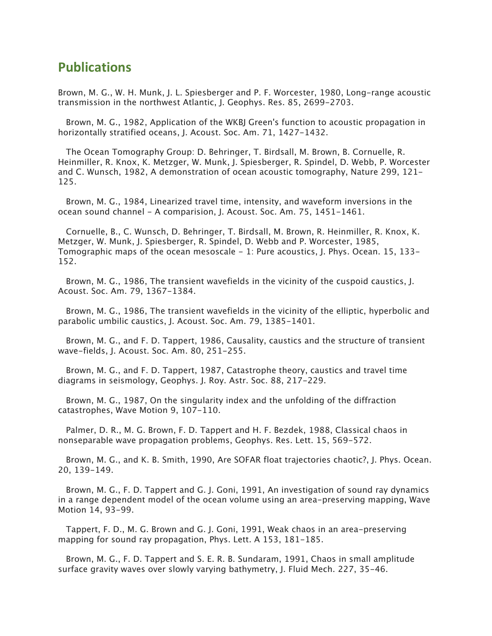## **Publications**

Brown, M. G., W. H. Munk, J. L. Spiesberger and P. F. Worcester, 1980, Long-range acoustic transmission in the northwest Atlantic, J. Geophys. Res. 85, 2699-2703.

 Brown, M. G., 1982, Application of the WKBJ Green's function to acoustic propagation in horizontally stratified oceans, J. Acoust. Soc. Am. 71, 1427-1432.

 The Ocean Tomography Group: D. Behringer, T. Birdsall, M. Brown, B. Cornuelle, R. Heinmiller, R. Knox, K. Metzger, W. Munk, J. Spiesberger, R. Spindel, D. Webb, P. Worcester and C. Wunsch, 1982, A demonstration of ocean acoustic tomography, Nature 299, 121- 125.

 Brown, M. G., 1984, Linearized travel time, intensity, and waveform inversions in the ocean sound channel - A comparision, J. Acoust. Soc. Am. 75, 1451-1461.

 Cornuelle, B., C. Wunsch, D. Behringer, T. Birdsall, M. Brown, R. Heinmiller, R. Knox, K. Metzger, W. Munk, J. Spiesberger, R. Spindel, D. Webb and P. Worcester, 1985, Tomographic maps of the ocean mesoscale - 1: Pure acoustics, J. Phys. Ocean. 15, 133- 152.

 Brown, M. G., 1986, The transient wavefields in the vicinity of the cuspoid caustics, J. Acoust. Soc. Am. 79, 1367-1384.

 Brown, M. G., 1986, The transient wavefields in the vicinity of the elliptic, hyperbolic and parabolic umbilic caustics, J. Acoust. Soc. Am. 79, 1385-1401.

 Brown, M. G., and F. D. Tappert, 1986, Causality, caustics and the structure of transient wave-fields, J. Acoust. Soc. Am. 80, 251-255.

 Brown, M. G., and F. D. Tappert, 1987, Catastrophe theory, caustics and travel time diagrams in seismology, Geophys. J. Roy. Astr. Soc. 88, 217-229.

 Brown, M. G., 1987, On the singularity index and the unfolding of the diffraction catastrophes, Wave Motion 9, 107-110.

 Palmer, D. R., M. G. Brown, F. D. Tappert and H. F. Bezdek, 1988, Classical chaos in nonseparable wave propagation problems, Geophys. Res. Lett. 15, 569-572.

 Brown, M. G., and K. B. Smith, 1990, Are SOFAR float trajectories chaotic?, J. Phys. Ocean. 20, 139-149.

 Brown, M. G., F. D. Tappert and G. J. Goni, 1991, An investigation of sound ray dynamics in a range dependent model of the ocean volume using an area-preserving mapping, Wave Motion 14, 93-99.

 Tappert, F. D., M. G. Brown and G. J. Goni, 1991, Weak chaos in an area-preserving mapping for sound ray propagation, Phys. Lett. A 153, 181-185.

 Brown, M. G., F. D. Tappert and S. E. R. B. Sundaram, 1991, Chaos in small amplitude surface gravity waves over slowly varying bathymetry, J. Fluid Mech. 227, 35-46.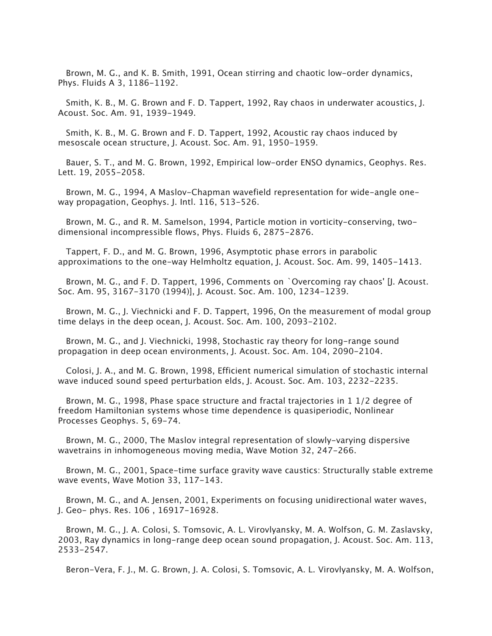Brown, M. G., and K. B. Smith, 1991, Ocean stirring and chaotic low-order dynamics, Phys. Fluids A 3, 1186-1192.

 Smith, K. B., M. G. Brown and F. D. Tappert, 1992, Ray chaos in underwater acoustics, J. Acoust. Soc. Am. 91, 1939-1949.

 Smith, K. B., M. G. Brown and F. D. Tappert, 1992, Acoustic ray chaos induced by mesoscale ocean structure, J. Acoust. Soc. Am. 91, 1950-1959.

 Bauer, S. T., and M. G. Brown, 1992, Empirical low-order ENSO dynamics, Geophys. Res. Lett. 19, 2055-2058.

 Brown, M. G., 1994, A Maslov-Chapman wavefield representation for wide-angle oneway propagation, Geophys. J. Intl. 116, 513-526.

 Brown, M. G., and R. M. Samelson, 1994, Particle motion in vorticity-conserving, twodimensional incompressible flows, Phys. Fluids 6, 2875-2876.

 Tappert, F. D., and M. G. Brown, 1996, Asymptotic phase errors in parabolic approximations to the one-way Helmholtz equation, J. Acoust. Soc. Am. 99, 1405-1413.

 Brown, M. G., and F. D. Tappert, 1996, Comments on `Overcoming ray chaos' [J. Acoust. Soc. Am. 95, 3167-3170 (1994)], J. Acoust. Soc. Am. 100, 1234-1239.

 Brown, M. G., J. Viechnicki and F. D. Tappert, 1996, On the measurement of modal group time delays in the deep ocean, J. Acoust. Soc. Am. 100, 2093-2102.

 Brown, M. G., and J. Viechnicki, 1998, Stochastic ray theory for long-range sound propagation in deep ocean environments, J. Acoust. Soc. Am. 104, 2090-2104.

 Colosi, J. A., and M. G. Brown, 1998, Efficient numerical simulation of stochastic internal wave induced sound speed perturbation elds, J. Acoust. Soc. Am. 103, 2232-2235.

 Brown, M. G., 1998, Phase space structure and fractal trajectories in 1 1/2 degree of freedom Hamiltonian systems whose time dependence is quasiperiodic, Nonlinear Processes Geophys. 5, 69-74.

 Brown, M. G., 2000, The Maslov integral representation of slowly-varying dispersive wavetrains in inhomogeneous moving media, Wave Motion 32, 247-266.

 Brown, M. G., 2001, Space-time surface gravity wave caustics: Structurally stable extreme wave events, Wave Motion 33, 117-143.

 Brown, M. G., and A. Jensen, 2001, Experiments on focusing unidirectional water waves, J. Geo- phys. Res. 106 , 16917-16928.

 Brown, M. G., J. A. Colosi, S. Tomsovic, A. L. Virovlyansky, M. A. Wolfson, G. M. Zaslavsky, 2003, Ray dynamics in long-range deep ocean sound propagation, J. Acoust. Soc. Am. 113, 2533-2547.

Beron-Vera, F. J., M. G. Brown, J. A. Colosi, S. Tomsovic, A. L. Virovlyansky, M. A. Wolfson,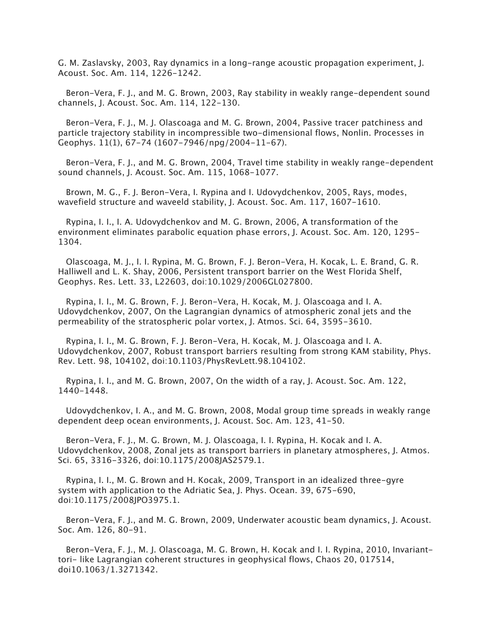G. M. Zaslavsky, 2003, Ray dynamics in a long-range acoustic propagation experiment, J. Acoust. Soc. Am. 114, 1226-1242.

 Beron-Vera, F. J., and M. G. Brown, 2003, Ray stability in weakly range-dependent sound channels, J. Acoust. Soc. Am. 114, 122-130.

 Beron-Vera, F. J., M. J. Olascoaga and M. G. Brown, 2004, Passive tracer patchiness and particle trajectory stability in incompressible two-dimensional flows, Nonlin. Processes in Geophys. 11(1), 67-74 (1607-7946/npg/2004-11-67).

 Beron-Vera, F. J., and M. G. Brown, 2004, Travel time stability in weakly range-dependent sound channels, J. Acoust. Soc. Am. 115, 1068-1077.

 Brown, M. G., F. J. Beron-Vera, I. Rypina and I. Udovydchenkov, 2005, Rays, modes, wavefield structure and waveeld stability, J. Acoust. Soc. Am. 117, 1607-1610.

 Rypina, I. I., I. A. Udovydchenkov and M. G. Brown, 2006, A transformation of the environment eliminates parabolic equation phase errors, J. Acoust. Soc. Am. 120, 1295- 1304.

 Olascoaga, M. J., I. I. Rypina, M. G. Brown, F. J. Beron-Vera, H. Kocak, L. E. Brand, G. R. Halliwell and L. K. Shay, 2006, Persistent transport barrier on the West Florida Shelf, Geophys. Res. Lett. 33, L22603, doi:10.1029/2006GL027800.

 Rypina, I. I., M. G. Brown, F. J. Beron-Vera, H. Kocak, M. J. Olascoaga and I. A. Udovydchenkov, 2007, On the Lagrangian dynamics of atmospheric zonal jets and the permeability of the stratospheric polar vortex, J. Atmos. Sci. 64, 3595-3610.

 Rypina, I. I., M. G. Brown, F. J. Beron-Vera, H. Kocak, M. J. Olascoaga and I. A. Udovydchenkov, 2007, Robust transport barriers resulting from strong KAM stability, Phys. Rev. Lett. 98, 104102, doi:10.1103/PhysRevLett.98.104102.

 Rypina, I. I., and M. G. Brown, 2007, On the width of a ray, J. Acoust. Soc. Am. 122, 1440-1448.

 Udovydchenkov, I. A., and M. G. Brown, 2008, Modal group time spreads in weakly range dependent deep ocean environments, J. Acoust. Soc. Am. 123, 41-50.

 Beron-Vera, F. J., M. G. Brown, M. J. Olascoaga, I. I. Rypina, H. Kocak and I. A. Udovydchenkov, 2008, Zonal jets as transport barriers in planetary atmospheres, J. Atmos. Sci. 65, 3316-3326, doi:10.1175/2008JAS2579.1.

 Rypina, I. I., M. G. Brown and H. Kocak, 2009, Transport in an idealized three-gyre system with application to the Adriatic Sea, J. Phys. Ocean. 39, 675-690, doi:10.1175/2008JPO3975.1.

 Beron-Vera, F. J., and M. G. Brown, 2009, Underwater acoustic beam dynamics, J. Acoust. Soc. Am. 126, 80-91.

 Beron-Vera, F. J., M. J. Olascoaga, M. G. Brown, H. Kocak and I. I. Rypina, 2010, Invarianttori- like Lagrangian coherent structures in geophysical flows, Chaos 20, 017514, doi10.1063/1.3271342.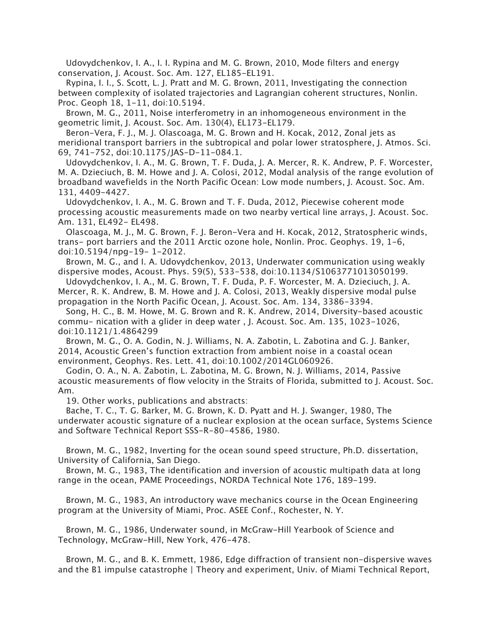Udovydchenkov, I. A., I. I. Rypina and M. G. Brown, 2010, Mode filters and energy conservation, J. Acoust. Soc. Am. 127, EL185-EL191.

 Rypina, I. I., S. Scott, L. J. Pratt and M. G. Brown, 2011, Investigating the connection between complexity of isolated trajectories and Lagrangian coherent structures, Nonlin. Proc. Geoph 18, 1-11, doi:10.5194.

 Brown, M. G., 2011, Noise interferometry in an inhomogeneous environment in the geometric limit, J. Acoust. Soc. Am. 130(4), EL173-EL179.

 Beron-Vera, F. J., M. J. Olascoaga, M. G. Brown and H. Kocak, 2012, Zonal jets as meridional transport barriers in the subtropical and polar lower stratosphere, J. Atmos. Sci. 69, 741-752, doi:10.1175/JAS-D-11-084.1.

 Udovydchenkov, I. A., M. G. Brown, T. F. Duda, J. A. Mercer, R. K. Andrew, P. F. Worcester, M. A. Dzieciuch, B. M. Howe and J. A. Colosi, 2012, Modal analysis of the range evolution of broadband wavefields in the North Pacific Ocean: Low mode numbers, J. Acoust. Soc. Am. 131, 4409-4427.

 Udovydchenkov, I. A., M. G. Brown and T. F. Duda, 2012, Piecewise coherent mode processing acoustic measurements made on two nearby vertical line arrays, J. Acoust. Soc. Am. 131, EL492- EL498.

 Olascoaga, M. J., M. G. Brown, F. J. Beron-Vera and H. Kocak, 2012, Stratospheric winds, trans- port barriers and the 2011 Arctic ozone hole, Nonlin. Proc. Geophys. 19, 1-6, doi:10.5194/npg-19- 1-2012.

 Brown, M. G., and I. A. Udovydchenkov, 2013, Underwater communication using weakly dispersive modes, Acoust. Phys. 59(5), 533-538, doi:10.1134/S1063771013050199.

 Udovydchenkov, I. A., M. G. Brown, T. F. Duda, P. F. Worcester, M. A. Dzieciuch, J. A. Mercer, R. K. Andrew, B. M. Howe and J. A. Colosi, 2013, Weakly dispersive modal pulse propagation in the North Pacific Ocean, J. Acoust. Soc. Am. 134, 3386-3394.

 Song, H. C., B. M. Howe, M. G. Brown and R. K. Andrew, 2014, Diversity-based acoustic commu- nication with a glider in deep water , J. Acoust. Soc. Am. 135, 1023-1026, doi:10.1121/1.4864299

 Brown, M. G., O. A. Godin, N. J. Williams, N. A. Zabotin, L. Zabotina and G. J. Banker, 2014, Acoustic Green's function extraction from ambient noise in a coastal ocean environment, Geophys. Res. Lett. 41, doi:10.1002/2014GL060926.

 Godin, O. A., N. A. Zabotin, L. Zabotina, M. G. Brown, N. J. Williams, 2014, Passive acoustic measurements of flow velocity in the Straits of Florida, submitted to J. Acoust. Soc. Am.

19. Other works, publications and abstracts:

 Bache, T. C., T. G. Barker, M. G. Brown, K. D. Pyatt and H. J. Swanger, 1980, The underwater acoustic signature of a nuclear explosion at the ocean surface, Systems Science and Software Technical Report SSS-R-80-4586, 1980.

 Brown, M. G., 1982, Inverting for the ocean sound speed structure, Ph.D. dissertation, University of California, San Diego.

 Brown, M. G., 1983, The identification and inversion of acoustic multipath data at long range in the ocean, PAME Proceedings, NORDA Technical Note 176, 189-199.

 Brown, M. G., 1983, An introductory wave mechanics course in the Ocean Engineering program at the University of Miami, Proc. ASEE Conf., Rochester, N. Y.

 Brown, M. G., 1986, Underwater sound, in McGraw-Hill Yearbook of Science and Technology, McGraw-Hill, New York, 476-478.

 Brown, M. G., and B. K. Emmett, 1986, Edge diffraction of transient non-dispersive waves and the B1 impulse catastrophe | Theory and experiment, Univ. of Miami Technical Report,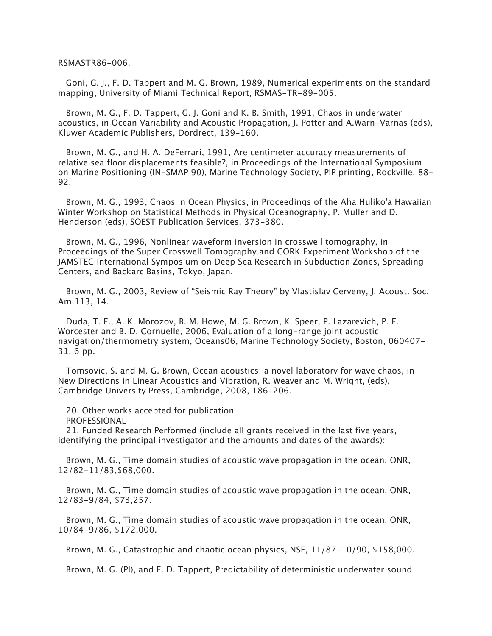RSMASTR86-006.

 Goni, G. J., F. D. Tappert and M. G. Brown, 1989, Numerical experiments on the standard mapping, University of Miami Technical Report, RSMAS-TR-89-005.

 Brown, M. G., F. D. Tappert, G. J. Goni and K. B. Smith, 1991, Chaos in underwater acoustics, in Ocean Variability and Acoustic Propagation, J. Potter and A.Warn-Varnas (eds), Kluwer Academic Publishers, Dordrect, 139-160.

 Brown, M. G., and H. A. DeFerrari, 1991, Are centimeter accuracy measurements of relative sea floor displacements feasible?, in Proceedings of the International Symposium on Marine Positioning (IN-SMAP 90), Marine Technology Society, PIP printing, Rockville, 88- 92.

 Brown, M. G., 1993, Chaos in Ocean Physics, in Proceedings of the Aha Huliko'a Hawaiian Winter Workshop on Statistical Methods in Physical Oceanography, P. Muller and D. Henderson (eds), SOEST Publication Services, 373-380.

 Brown, M. G., 1996, Nonlinear waveform inversion in crosswell tomography, in Proceedings of the Super Crosswell Tomography and CORK Experiment Workshop of the JAMSTEC International Symposium on Deep Sea Research in Subduction Zones, Spreading Centers, and Backarc Basins, Tokyo, Japan.

 Brown, M. G., 2003, Review of "Seismic Ray Theory" by Vlastislav Cerveny, J. Acoust. Soc. Am.113, 14.

 Duda, T. F., A. K. Morozov, B. M. Howe, M. G. Brown, K. Speer, P. Lazarevich, P. F. Worcester and B. D. Cornuelle, 2006, Evaluation of a long-range joint acoustic navigation/thermometry system, Oceans06, Marine Technology Society, Boston, 060407- 31, 6 pp.

 Tomsovic, S. and M. G. Brown, Ocean acoustics: a novel laboratory for wave chaos, in New Directions in Linear Acoustics and Vibration, R. Weaver and M. Wright, (eds), Cambridge University Press, Cambridge, 2008, 186-206.

 20. Other works accepted for publication PROFESSIONAL

 21. Funded Research Performed (include all grants received in the last five years, identifying the principal investigator and the amounts and dates of the awards):

 Brown, M. G., Time domain studies of acoustic wave propagation in the ocean, ONR, 12/82-11/83,\$68,000.

 Brown, M. G., Time domain studies of acoustic wave propagation in the ocean, ONR, 12/83-9/84, \$73,257.

 Brown, M. G., Time domain studies of acoustic wave propagation in the ocean, ONR, 10/84-9/86, \$172,000.

Brown, M. G., Catastrophic and chaotic ocean physics, NSF, 11/87-10/90, \$158,000.

Brown, M. G. (PI), and F. D. Tappert, Predictability of deterministic underwater sound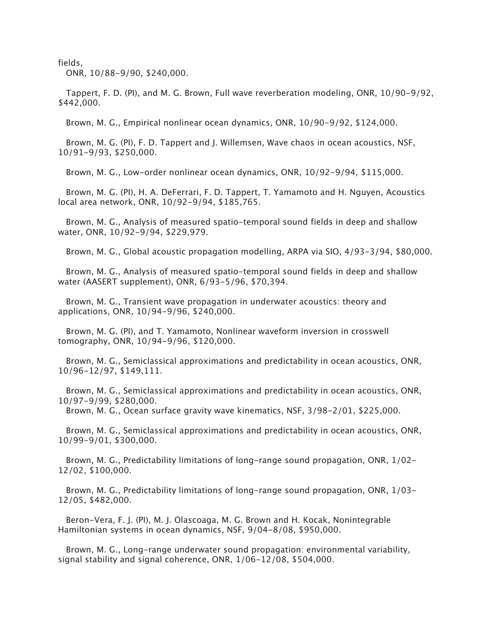fields,

ONR, 10/88-9/90, \$240,000.

 Tappert, F. D. (PI), and M. G. Brown, Full wave reverberation modeling, ONR, 10/90-9/92, \$442,000.

Brown, M. G., Empirical nonlinear ocean dynamics, ONR, 10/90-9/92, \$124,000.

 Brown, M. G. (PI), F. D. Tappert and J. Willemsen, Wave chaos in ocean acoustics, NSF, 10/91-9/93, \$250,000.

Brown, M. G., Low-order nonlinear ocean dynamics, ONR, 10/92-9/94, \$115,000.

 Brown, M. G. (PI), H. A. DeFerrari, F. D. Tappert, T. Yamamoto and H. Nguyen, Acoustics local area network, ONR, 10/92-9/94, \$185,765.

 Brown, M. G., Analysis of measured spatio-temporal sound fields in deep and shallow water, ONR, 10/92-9/94, \$229,979.

Brown, M. G., Global acoustic propagation modelling, ARPA via SIO, 4/93-3/94, \$80,000.

 Brown, M. G., Analysis of measured spatio-temporal sound fields in deep and shallow water (AASERT supplement), ONR, 6/93-5/96, \$70,394.

 Brown, M. G., Transient wave propagation in underwater acoustics: theory and applications, ONR, 10/94-9/96, \$240,000.

 Brown, M. G. (PI), and T. Yamamoto, Nonlinear waveform inversion in crosswell tomography, ONR, 10/94-9/96, \$120,000.

 Brown, M. G., Semiclassical approximations and predictability in ocean acoustics, ONR, 10/96-12/97, \$149,111.

 Brown, M. G., Semiclassical approximations and predictability in ocean acoustics, ONR, 10/97-9/99, \$280,000.

Brown, M. G., Ocean surface gravity wave kinematics, NSF, 3/98-2/01, \$225,000.

 Brown, M. G., Semiclassical approximations and predictability in ocean acoustics, ONR, 10/99-9/01, \$300,000.

 Brown, M. G., Predictability limitations of long-range sound propagation, ONR, 1/02- 12/02, \$100,000.

 Brown, M. G., Predictability limitations of long-range sound propagation, ONR, 1/03- 12/05, \$482,000.

 Beron-Vera, F. J. (PI), M. J. Olascoaga, M. G. Brown and H. Kocak, Nonintegrable Hamiltonian systems in ocean dynamics, NSF, 9/04-8/08, \$950,000.

 Brown, M. G., Long-range underwater sound propagation: environmental variability, signal stability and signal coherence, ONR, 1/06-12/08, \$504,000.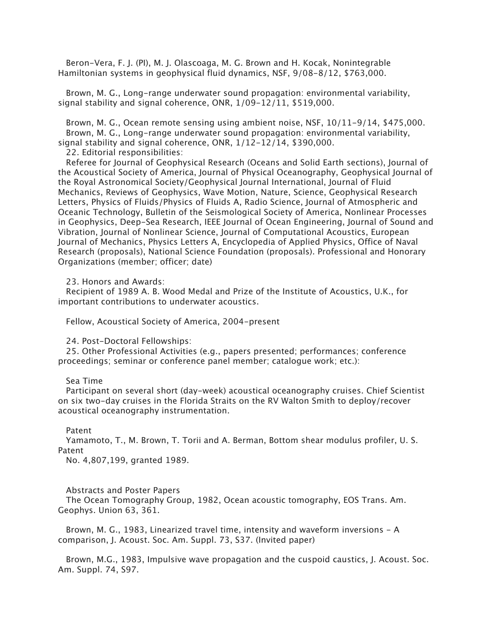Beron-Vera, F. J. (PI), M. J. Olascoaga, M. G. Brown and H. Kocak, Nonintegrable Hamiltonian systems in geophysical fluid dynamics, NSF, 9/08-8/12, \$763,000.

 Brown, M. G., Long-range underwater sound propagation: environmental variability, signal stability and signal coherence, ONR, 1/09-12/11, \$519,000.

 Brown, M. G., Ocean remote sensing using ambient noise, NSF, 10/11-9/14, \$475,000. Brown, M. G., Long-range underwater sound propagation: environmental variability, signal stability and signal coherence, ONR, 1/12-12/14, \$390,000.

22. Editorial responsibilities:

 Referee for Journal of Geophysical Research (Oceans and Solid Earth sections), Journal of the Acoustical Society of America, Journal of Physical Oceanography, Geophysical Journal of the Royal Astronomical Society/Geophysical Journal International, Journal of Fluid Mechanics, Reviews of Geophysics, Wave Motion, Nature, Science, Geophysical Research Letters, Physics of Fluids/Physics of Fluids A, Radio Science, Journal of Atmospheric and Oceanic Technology, Bulletin of the Seismological Society of America, Nonlinear Processes in Geophysics, Deep-Sea Research, IEEE Journal of Ocean Engineering, Journal of Sound and Vibration, Journal of Nonlinear Science, Journal of Computational Acoustics, European Journal of Mechanics, Physics Letters A, Encyclopedia of Applied Physics, Office of Naval Research (proposals), National Science Foundation (proposals). Professional and Honorary Organizations (member; officer; date)

23. Honors and Awards:

 Recipient of 1989 A. B. Wood Medal and Prize of the Institute of Acoustics, U.K., for important contributions to underwater acoustics.

Fellow, Acoustical Society of America, 2004-present

24. Post-Doctoral Fellowships:

 25. Other Professional Activities (e.g., papers presented; performances; conference proceedings; seminar or conference panel member; catalogue work; etc.):

## Sea Time

 Participant on several short (day-week) acoustical oceanography cruises. Chief Scientist on six two-day cruises in the Florida Straits on the RV Walton Smith to deploy/recover acoustical oceanography instrumentation.

## Patent

 Yamamoto, T., M. Brown, T. Torii and A. Berman, Bottom shear modulus profiler, U. S. Patent

No. 4,807,199, granted 1989.

## Abstracts and Poster Papers

 The Ocean Tomography Group, 1982, Ocean acoustic tomography, EOS Trans. Am. Geophys. Union 63, 361.

 Brown, M. G., 1983, Linearized travel time, intensity and waveform inversions - A comparison, J. Acoust. Soc. Am. Suppl. 73, S37. (Invited paper)

 Brown, M.G., 1983, Impulsive wave propagation and the cuspoid caustics, J. Acoust. Soc. Am. Suppl. 74, S97.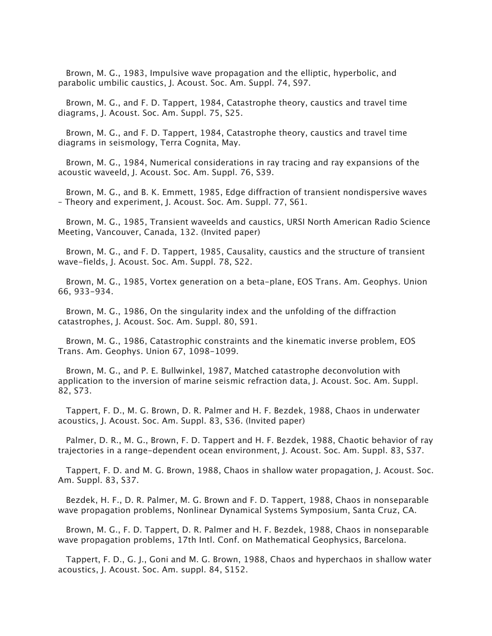Brown, M. G., 1983, Impulsive wave propagation and the elliptic, hyperbolic, and parabolic umbilic caustics, J. Acoust. Soc. Am. Suppl. 74, S97.

 Brown, M. G., and F. D. Tappert, 1984, Catastrophe theory, caustics and travel time diagrams, J. Acoust. Soc. Am. Suppl. 75, S25.

 Brown, M. G., and F. D. Tappert, 1984, Catastrophe theory, caustics and travel time diagrams in seismology, Terra Cognita, May.

 Brown, M. G., 1984, Numerical considerations in ray tracing and ray expansions of the acoustic waveeld, J. Acoust. Soc. Am. Suppl. 76, S39.

 Brown, M. G., and B. K. Emmett, 1985, Edge diffraction of transient nondispersive waves – Theory and experiment, J. Acoust. Soc. Am. Suppl. 77, S61.

 Brown, M. G., 1985, Transient waveelds and caustics, URSI North American Radio Science Meeting, Vancouver, Canada, 132. (Invited paper)

 Brown, M. G., and F. D. Tappert, 1985, Causality, caustics and the structure of transient wave-fields, J. Acoust. Soc. Am. Suppl. 78, S22.

 Brown, M. G., 1985, Vortex generation on a beta-plane, EOS Trans. Am. Geophys. Union 66, 933-934.

 Brown, M. G., 1986, On the singularity index and the unfolding of the diffraction catastrophes, J. Acoust. Soc. Am. Suppl. 80, S91.

 Brown, M. G., 1986, Catastrophic constraints and the kinematic inverse problem, EOS Trans. Am. Geophys. Union 67, 1098-1099.

 Brown, M. G., and P. E. Bullwinkel, 1987, Matched catastrophe deconvolution with application to the inversion of marine seismic refraction data, J. Acoust. Soc. Am. Suppl. 82, S73.

 Tappert, F. D., M. G. Brown, D. R. Palmer and H. F. Bezdek, 1988, Chaos in underwater acoustics, J. Acoust. Soc. Am. Suppl. 83, S36. (Invited paper)

 Palmer, D. R., M. G., Brown, F. D. Tappert and H. F. Bezdek, 1988, Chaotic behavior of ray trajectories in a range-dependent ocean environment, J. Acoust. Soc. Am. Suppl. 83, S37.

 Tappert, F. D. and M. G. Brown, 1988, Chaos in shallow water propagation, J. Acoust. Soc. Am. Suppl. 83, S37.

 Bezdek, H. F., D. R. Palmer, M. G. Brown and F. D. Tappert, 1988, Chaos in nonseparable wave propagation problems, Nonlinear Dynamical Systems Symposium, Santa Cruz, CA.

 Brown, M. G., F. D. Tappert, D. R. Palmer and H. F. Bezdek, 1988, Chaos in nonseparable wave propagation problems, 17th Intl. Conf. on Mathematical Geophysics, Barcelona.

 Tappert, F. D., G. J., Goni and M. G. Brown, 1988, Chaos and hyperchaos in shallow water acoustics, J. Acoust. Soc. Am. suppl. 84, S152.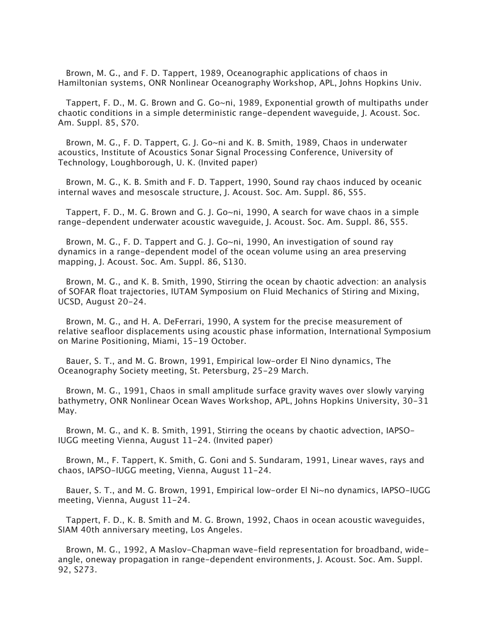Brown, M. G., and F. D. Tappert, 1989, Oceanographic applications of chaos in Hamiltonian systems, ONR Nonlinear Oceanography Workshop, APL, Johns Hopkins Univ.

 Tappert, F. D., M. G. Brown and G. Go~ni, 1989, Exponential growth of multipaths under chaotic conditions in a simple deterministic range-dependent waveguide, J. Acoust. Soc. Am. Suppl. 85, S70.

 Brown, M. G., F. D. Tappert, G. J. Go~ni and K. B. Smith, 1989, Chaos in underwater acoustics, Institute of Acoustics Sonar Signal Processing Conference, University of Technology, Loughborough, U. K. (Invited paper)

 Brown, M. G., K. B. Smith and F. D. Tappert, 1990, Sound ray chaos induced by oceanic internal waves and mesoscale structure, J. Acoust. Soc. Am. Suppl. 86, S55.

 Tappert, F. D., M. G. Brown and G. J. Go~ni, 1990, A search for wave chaos in a simple range-dependent underwater acoustic waveguide, J. Acoust. Soc. Am. Suppl. 86, S55.

 Brown, M. G., F. D. Tappert and G. J. Go~ni, 1990, An investigation of sound ray dynamics in a range-dependent model of the ocean volume using an area preserving mapping, J. Acoust. Soc. Am. Suppl. 86, S130.

 Brown, M. G., and K. B. Smith, 1990, Stirring the ocean by chaotic advection: an analysis of SOFAR float trajectories, IUTAM Symposium on Fluid Mechanics of Stiring and Mixing, UCSD, August 20-24.

 Brown, M. G., and H. A. DeFerrari, 1990, A system for the precise measurement of relative seafloor displacements using acoustic phase information, International Symposium on Marine Positioning, Miami, 15-19 October.

 Bauer, S. T., and M. G. Brown, 1991, Empirical low-order El Nino dynamics, The Oceanography Society meeting, St. Petersburg, 25-29 March.

 Brown, M. G., 1991, Chaos in small amplitude surface gravity waves over slowly varying bathymetry, ONR Nonlinear Ocean Waves Workshop, APL, Johns Hopkins University, 30-31 May.

 Brown, M. G., and K. B. Smith, 1991, Stirring the oceans by chaotic advection, IAPSO-IUGG meeting Vienna, August 11-24. (Invited paper)

 Brown, M., F. Tappert, K. Smith, G. Goni and S. Sundaram, 1991, Linear waves, rays and chaos, IAPSO-IUGG meeting, Vienna, August 11-24.

 Bauer, S. T., and M. G. Brown, 1991, Empirical low-order El Ni~no dynamics, IAPSO-IUGG meeting, Vienna, August 11-24.

 Tappert, F. D., K. B. Smith and M. G. Brown, 1992, Chaos in ocean acoustic waveguides, SIAM 40th anniversary meeting, Los Angeles.

 Brown, M. G., 1992, A Maslov-Chapman wave-field representation for broadband, wideangle, oneway propagation in range-dependent environments, J. Acoust. Soc. Am. Suppl. 92, S273.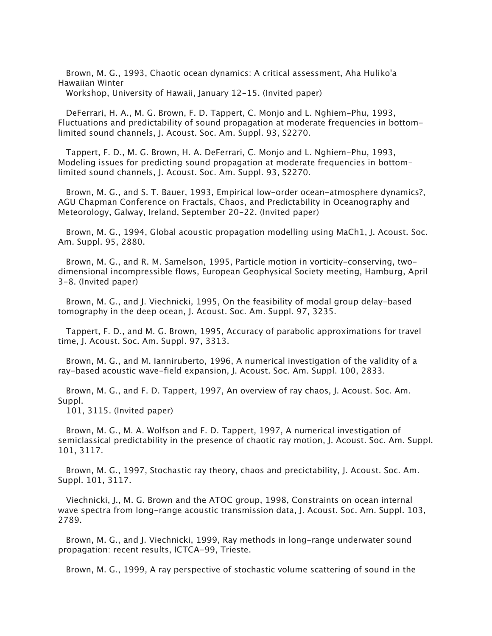Brown, M. G., 1993, Chaotic ocean dynamics: A critical assessment, Aha Huliko'a Hawaiian Winter

Workshop, University of Hawaii, January 12-15. (Invited paper)

 DeFerrari, H. A., M. G. Brown, F. D. Tappert, C. Monjo and L. Nghiem-Phu, 1993, Fluctuations and predictability of sound propagation at moderate frequencies in bottomlimited sound channels, J. Acoust. Soc. Am. Suppl. 93, S2270.

 Tappert, F. D., M. G. Brown, H. A. DeFerrari, C. Monjo and L. Nghiem-Phu, 1993, Modeling issues for predicting sound propagation at moderate frequencies in bottomlimited sound channels, J. Acoust. Soc. Am. Suppl. 93, S2270.

 Brown, M. G., and S. T. Bauer, 1993, Empirical low-order ocean-atmosphere dynamics?, AGU Chapman Conference on Fractals, Chaos, and Predictability in Oceanography and Meteorology, Galway, Ireland, September 20-22. (Invited paper)

 Brown, M. G., 1994, Global acoustic propagation modelling using MaCh1, J. Acoust. Soc. Am. Suppl. 95, 2880.

 Brown, M. G., and R. M. Samelson, 1995, Particle motion in vorticity-conserving, twodimensional incompressible flows, European Geophysical Society meeting, Hamburg, April 3-8. (Invited paper)

 Brown, M. G., and J. Viechnicki, 1995, On the feasibility of modal group delay-based tomography in the deep ocean, J. Acoust. Soc. Am. Suppl. 97, 3235.

 Tappert, F. D., and M. G. Brown, 1995, Accuracy of parabolic approximations for travel time, J. Acoust. Soc. Am. Suppl. 97, 3313.

 Brown, M. G., and M. Ianniruberto, 1996, A numerical investigation of the validity of a ray-based acoustic wave-field expansion, J. Acoust. Soc. Am. Suppl. 100, 2833.

 Brown, M. G., and F. D. Tappert, 1997, An overview of ray chaos, J. Acoust. Soc. Am. Suppl.

101, 3115. (Invited paper)

 Brown, M. G., M. A. Wolfson and F. D. Tappert, 1997, A numerical investigation of semiclassical predictability in the presence of chaotic ray motion, J. Acoust. Soc. Am. Suppl. 101, 3117.

 Brown, M. G., 1997, Stochastic ray theory, chaos and precictability, J. Acoust. Soc. Am. Suppl. 101, 3117.

 Viechnicki, J., M. G. Brown and the ATOC group, 1998, Constraints on ocean internal wave spectra from long-range acoustic transmission data, J. Acoust. Soc. Am. Suppl. 103, 2789.

 Brown, M. G., and J. Viechnicki, 1999, Ray methods in long-range underwater sound propagation: recent results, ICTCA-99, Trieste.

Brown, M. G., 1999, A ray perspective of stochastic volume scattering of sound in the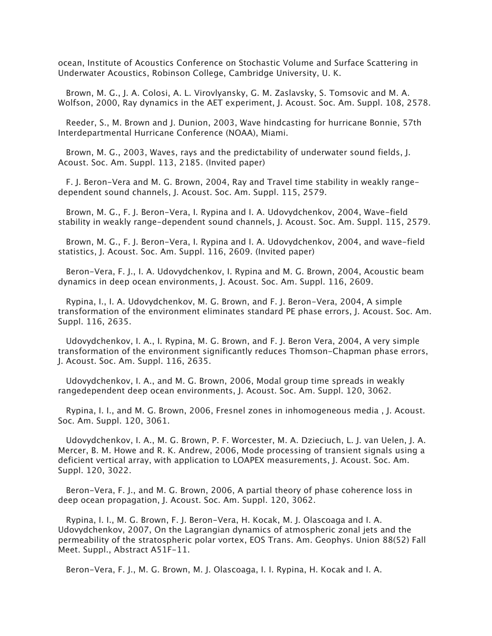ocean, Institute of Acoustics Conference on Stochastic Volume and Surface Scattering in Underwater Acoustics, Robinson College, Cambridge University, U. K.

 Brown, M. G., J. A. Colosi, A. L. Virovlyansky, G. M. Zaslavsky, S. Tomsovic and M. A. Wolfson, 2000, Ray dynamics in the AET experiment, J. Acoust. Soc. Am. Suppl. 108, 2578.

 Reeder, S., M. Brown and J. Dunion, 2003, Wave hindcasting for hurricane Bonnie, 57th Interdepartmental Hurricane Conference (NOAA), Miami.

 Brown, M. G., 2003, Waves, rays and the predictability of underwater sound fields, J. Acoust. Soc. Am. Suppl. 113, 2185. (Invited paper)

 F. J. Beron-Vera and M. G. Brown, 2004, Ray and Travel time stability in weakly rangedependent sound channels, J. Acoust. Soc. Am. Suppl. 115, 2579.

 Brown, M. G., F. J. Beron-Vera, I. Rypina and I. A. Udovydchenkov, 2004, Wave-field stability in weakly range-dependent sound channels, J. Acoust. Soc. Am. Suppl. 115, 2579.

 Brown, M. G., F. J. Beron-Vera, I. Rypina and I. A. Udovydchenkov, 2004, and wave-field statistics, J. Acoust. Soc. Am. Suppl. 116, 2609. (Invited paper)

 Beron-Vera, F. J., I. A. Udovydchenkov, I. Rypina and M. G. Brown, 2004, Acoustic beam dynamics in deep ocean environments, J. Acoust. Soc. Am. Suppl. 116, 2609.

 Rypina, I., I. A. Udovydchenkov, M. G. Brown, and F. J. Beron-Vera, 2004, A simple transformation of the environment eliminates standard PE phase errors, J. Acoust. Soc. Am. Suppl. 116, 2635.

 Udovydchenkov, I. A., I. Rypina, M. G. Brown, and F. J. Beron Vera, 2004, A very simple transformation of the environment significantly reduces Thomson-Chapman phase errors, J. Acoust. Soc. Am. Suppl. 116, 2635.

 Udovydchenkov, I. A., and M. G. Brown, 2006, Modal group time spreads in weakly rangedependent deep ocean environments, J. Acoust. Soc. Am. Suppl. 120, 3062.

 Rypina, I. I., and M. G. Brown, 2006, Fresnel zones in inhomogeneous media , J. Acoust. Soc. Am. Suppl. 120, 3061.

 Udovydchenkov, I. A., M. G. Brown, P. F. Worcester, M. A. Dzieciuch, L. J. van Uelen, J. A. Mercer, B. M. Howe and R. K. Andrew, 2006, Mode processing of transient signals using a deficient vertical array, with application to LOAPEX measurements, J. Acoust. Soc. Am. Suppl. 120, 3022.

 Beron-Vera, F. J., and M. G. Brown, 2006, A partial theory of phase coherence loss in deep ocean propagation, J. Acoust. Soc. Am. Suppl. 120, 3062.

 Rypina, I. I., M. G. Brown, F. J. Beron-Vera, H. Kocak, M. J. Olascoaga and I. A. Udovydchenkov, 2007, On the Lagrangian dynamics of atmospheric zonal jets and the permeability of the stratospheric polar vortex, EOS Trans. Am. Geophys. Union 88(52) Fall Meet. Suppl., Abstract A51F-11.

Beron-Vera, F. J., M. G. Brown, M. J. Olascoaga, I. I. Rypina, H. Kocak and I. A.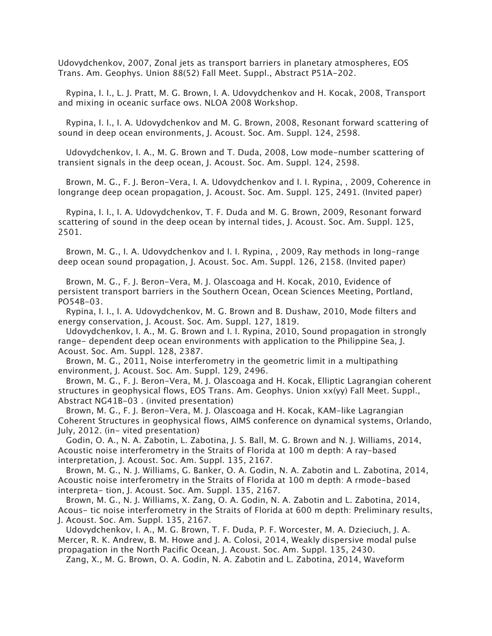Udovydchenkov, 2007, Zonal jets as transport barriers in planetary atmospheres, EOS Trans. Am. Geophys. Union 88(52) Fall Meet. Suppl., Abstract P51A-202.

 Rypina, I. I., L. J. Pratt, M. G. Brown, I. A. Udovydchenkov and H. Kocak, 2008, Transport and mixing in oceanic surface ows. NLOA 2008 Workshop.

 Rypina, I. I., I. A. Udovydchenkov and M. G. Brown, 2008, Resonant forward scattering of sound in deep ocean environments, J. Acoust. Soc. Am. Suppl. 124, 2598.

 Udovydchenkov, I. A., M. G. Brown and T. Duda, 2008, Low mode-number scattering of transient signals in the deep ocean, J. Acoust. Soc. Am. Suppl. 124, 2598.

 Brown, M. G., F. J. Beron-Vera, I. A. Udovydchenkov and I. I. Rypina, , 2009, Coherence in longrange deep ocean propagation, J. Acoust. Soc. Am. Suppl. 125, 2491. (Invited paper)

 Rypina, I. I., I. A. Udovydchenkov, T. F. Duda and M. G. Brown, 2009, Resonant forward scattering of sound in the deep ocean by internal tides, J. Acoust. Soc. Am. Suppl. 125, 2501.

 Brown, M. G., I. A. Udovydchenkov and I. I. Rypina, , 2009, Ray methods in long-range deep ocean sound propagation, J. Acoust. Soc. Am. Suppl. 126, 2158. (Invited paper)

 Brown, M. G., F. J. Beron-Vera, M. J. Olascoaga and H. Kocak, 2010, Evidence of persistent transport barriers in the Southern Ocean, Ocean Sciences Meeting, Portland, PO54B-03.

 Rypina, I. I., I. A. Udovydchenkov, M. G. Brown and B. Dushaw, 2010, Mode filters and energy conservation, J. Acoust. Soc. Am. Suppl. 127, 1819.

 Udovydchenkov, I. A., M. G. Brown and I. I. Rypina, 2010, Sound propagation in strongly range- dependent deep ocean environments with application to the Philippine Sea, J. Acoust. Soc. Am. Suppl. 128, 2387.

 Brown, M. G., 2011, Noise interferometry in the geometric limit in a multipathing environment, J. Acoust. Soc. Am. Suppl. 129, 2496.

 Brown, M. G., F. J. Beron-Vera, M. J. Olascoaga and H. Kocak, Elliptic Lagrangian coherent structures in geophysical flows, EOS Trans. Am. Geophys. Union xx(yy) Fall Meet. Suppl., Abstract NG41B-03 . (invited presentation)

 Brown, M. G., F. J. Beron-Vera, M. J. Olascoaga and H. Kocak, KAM-like Lagrangian Coherent Structures in geophysical flows, AIMS conference on dynamical systems, Orlando, July, 2012. (in- vited presentation)

 Godin, O. A., N. A. Zabotin, L. Zabotina, J. S. Ball, M. G. Brown and N. J. Williams, 2014, Acoustic noise interferometry in the Straits of Florida at 100 m depth: A ray-based interpretation, J. Acoust. Soc. Am. Suppl. 135, 2167.

 Brown, M. G., N. J. Williams, G. Banker, O. A. Godin, N. A. Zabotin and L. Zabotina, 2014, Acoustic noise interferometry in the Straits of Florida at 100 m depth: A rmode-based interpreta- tion, J. Acoust. Soc. Am. Suppl. 135, 2167.

 Brown, M. G., N. J. Williams, X. Zang, O. A. Godin, N. A. Zabotin and L. Zabotina, 2014, Acous- tic noise interferometry in the Straits of Florida at 600 m depth: Preliminary results, J. Acoust. Soc. Am. Suppl. 135, 2167.

 Udovydchenkov, I. A., M. G. Brown, T. F. Duda, P. F. Worcester, M. A. Dzieciuch, J. A. Mercer, R. K. Andrew, B. M. Howe and J. A. Colosi, 2014, Weakly dispersive modal pulse propagation in the North Pacific Ocean, J. Acoust. Soc. Am. Suppl. 135, 2430.

Zang, X., M. G. Brown, O. A. Godin, N. A. Zabotin and L. Zabotina, 2014, Waveform